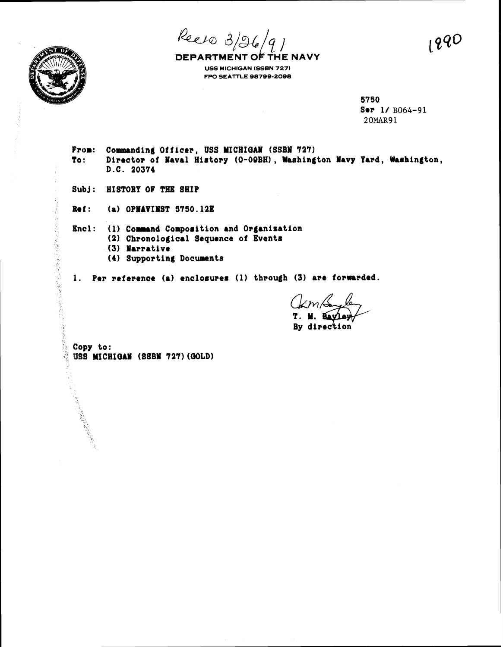

**USS MICHIGAN (SSBN 727) FPO SEATTLE 98799-2098** 

> **5750**  Ser 1/  $B064-91$ **2 OMAR9 1**

From: Commanding Officer, USS MICHIGAN (SSBN 727) **To: Director of Ihval Hirtory (0-00881, hahington hvy Yard, Warhington, D.C. 20374** 

**Subl: HISTORY OF THE SHIP** 

**Bef :** (a) **OPNAVINST 5750.12E** 

Encl: (1) Command Composition and Organization

- **(21 Chronologic81 Sequence of Events** 
	- **(3) Ilarrative**
	- **(4) Supporting Documents**

1. Per reference (a) enclosures (1) through (3) are forwarded.

**Kav** 

By direction

**Copy to: ."US MICHIOAIY (SSBY 727) (WLD)**  1990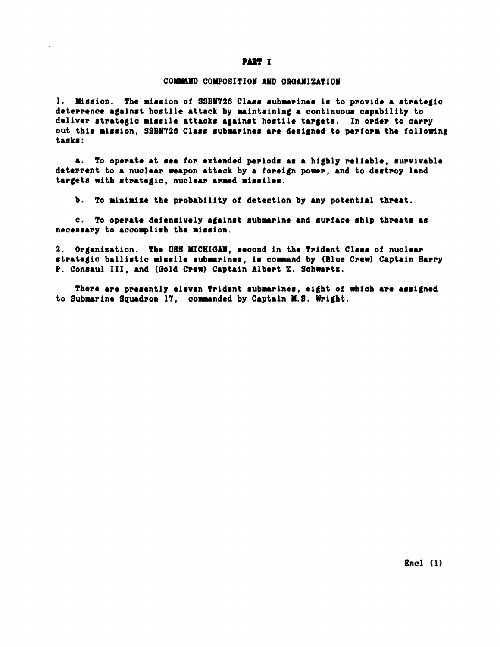#### PART I

## **COMMAND COMPOSITION AND ORGANIZATION**

1. Mission. The mission of SSBN726 Class submarines is to provide a strategic deterrence against hostile attack by maintaining a continuous capability to deliver strategic missile attacks against hostile targets. In order to carry out this mission, SSBN726 Class submarines are designed to perform the following **taekr** :

a. To operate at sea for extended periods as a highly reliable, survivable deterrent to a nuclear weapon attack by a foreign power, and to destroy land targets with strategic, nuclear armed missiles.

**b. To minimize the probability of detection by any potential threat.** 

**c.** To operate defensively against submarine and surface ship threats as necessary to accomplish the mission.

2. Organization. The USS MICHIGAN, second in the Trident Class of nuclear strategic ballistic missile submarines, is command by (Blue Crew) Captain Harry P. Consaul III, and (Gold Crew) Captain Albert Z. Schwartz.

There are presently eleven Trident submarines, eight of which are assigned **to Submarina Squadron 17, eorundad by Captain M.S. W~ight.**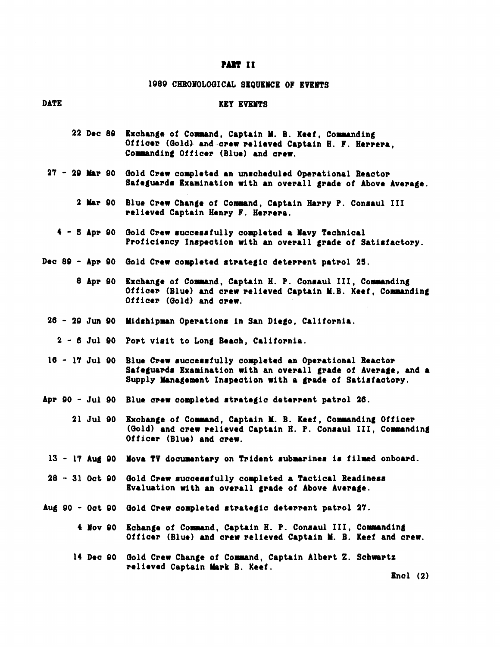#### PART II

#### 1989 CHRONOLOGICAL SEQUENCE OF EVENTS

# **DATE** KEY EVENTS

- 22 Dec 89 Exchange of Command, Captain M. B. Keef, Commanding **Officer (Oold) and crew relieved Captain B. F. Herrera,**  Commanding Officer (Blue) and crew.
- **<sup>27</sup> 20 Mar 00 Qold Crew completed an unrcheduled Operational Reactor**  Safeguards Examination with an overall grade of Above Average.
	- **2 Mar 00 Blue Crew Change of Command, Captain Harry P. Conraul 111 relieved Captain Henry F. Herrera.**
	- **<sup>4</sup> <sup>5</sup>Apr 00 hld Crew ruccerrfully completed a Navy Technical**  Proficiency Inspection with an overall grade of Satisfactory.
- **Dec <sup>80</sup> Apr 00 hld Crew completed strategic deterrent patrol 25.** 
	- 8 Apr 90 Exchange of Command, Captain H. P. Consaul III, Commanding **Officer (Blue) and crew relieved Captain Y.B. Keef, Commanding Officer (Qold) and crew.**
- **<sup>26</sup> <sup>28</sup>Jun 90 Yidrhipun Operationr in Son Diego, California.** 
	- **<sup>2</sup> 6 Jul Q0 Port visit to Long Beach, California.**
- 16 17 Jul 90 Blue Crew successfully completed an Operational Reactor Safeguards Examination with an overall grade of Average, and a **Supply Management Inspection with a grade of Satisfactory.**
- **Apr <sup>00</sup> Jul 00 Blue crew completed strategic deterrent patrol 26.** 
	- **21 Jul QO Exchange of Couurd, Captain Y. 3. Keef, Commanding Officer (Gold) and crew relieved Captain H. P. Conraul 111, Commanding Officer (Blue) and crew.**
- **13** .- **17 Aug Q0 Yova TV documentary on Trident ruburiner ir filmed onboard.**
- **98 31 Oct 90 (3old Crew sucoessfully completed a Tactical Beadinear Evaluation with an overall grade of Above Average.**
- Aug 90 Oct 90 Gold Crew completed strategic deterrent patrol 27.
	- **4 Yov 00 Echange of Corrurd, Captain H. P. Consaul 111, Commnnding**  Officer (Blue) and crew relieved Captain M. B. Keef and crew.
	- 14 Dec 90 Gold Crew Change of Command, Captain Albert Z. Schwartz **relieved Captain krk B. Keei.**

**Encl (2)**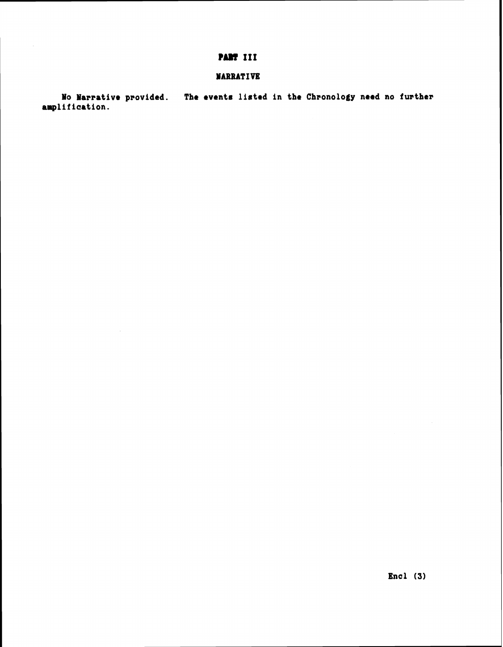# PART III

## **NARRATIVE**

No Narrative provided. The events listed in the Chronology need no further amplification.

 $\text{Encl}$  (3)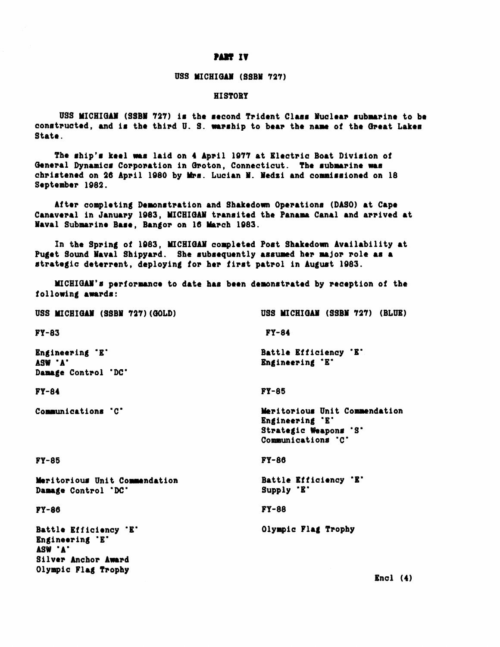## PART IV

### USS MICHIGAN (SSBN 727)

### **HISTORY**

USS MICHIGAN (SSBN 727) is the second Trident Class Nuclear submarine to be constructed, and is the third U. S. warship to bear the name of the Great Lakes State.

The ship's keel was laid on 4 April 1977 at Electric Boat Division of General Dynamics Corporation in Groton, Connecticut. The submarine was christened on 26 April 1980 by Mrs. Lucian N. Nedzi and commissioned on 18 September 1982.

After completing Demonstration and Shakedown Operations (DASO) at Cape Canaveral in January 1983, MICHIGAN transited the Panama Canal and arrived at Naval Submarine Base, Bangor on 16 March 1983.

In the Spring of 1983, MICHIGAN completed Post Shakedown Availability at Puget Sound Naval Shipyard. She subsequently assumed her major role as a strategic deterrent, deploying for her first patrol in August 1983.

MICHIGAN's performance to date has been demonstrated by reception of the following awards:

USS MICHIGAN (SSBN 727)(GOLD) USS MICHIGAN (SSBN 727) (BLUE)  $FY-83$ **FY-84** Engineering 'E' Battle Efficiency 'E' ASW 'A' Engineering 'E' Damage Control 'DC' **FY-85 FY-84** Communications 'C' Meritorious Unit Commendation Engineering 'E' Strategic Weapons 'S' Communications 'C' **FY-86 FY-85** Battle Efficiency 'E' Meritorious Unit Commendation Damage Control 'DC' Supply 'E' **FY-86**  $FY-88$ Battle Efficiency 'E' Olympic Flag Trophy Engineering 'E' ASW 'A' Silver Anchor Award Olympic Flag Trophy

 $End(4)$